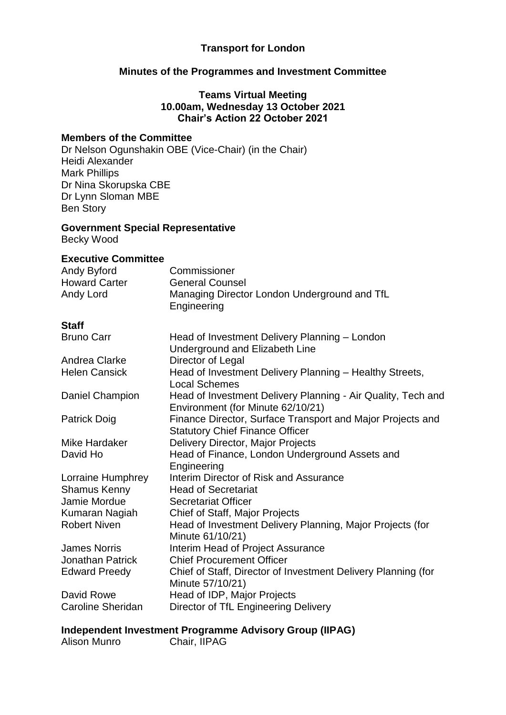#### **Transport for London**

#### **Minutes of the Programmes and Investment Committee**

**Teams Virtual Meeting 10.00am, Wednesday 13 October 2021 Chair's Action 22 October 2021**

#### **Members of the Committee**

Dr Nelson Ogunshakin OBE (Vice-Chair) (in the Chair) Heidi Alexander Mark Phillips Dr Nina Skorupska CBE Dr Lynn Sloman MBE Ben Story

#### **Government Special Representative** Becky Wood

**Executive Committee**

| САССАНТС ООПШНИСС<br>Andy Byford<br><b>Howard Carter</b><br>Andy Lord | Commissioner<br><b>General Counsel</b><br>Managing Director London Underground and TfL<br>Engineering |
|-----------------------------------------------------------------------|-------------------------------------------------------------------------------------------------------|
| <b>Staff</b>                                                          |                                                                                                       |
| <b>Bruno Carr</b>                                                     | Head of Investment Delivery Planning - London<br>Underground and Elizabeth Line                       |
| Andrea Clarke                                                         | Director of Legal                                                                                     |
| <b>Helen Cansick</b>                                                  | Head of Investment Delivery Planning - Healthy Streets,<br><b>Local Schemes</b>                       |
| <b>Daniel Champion</b>                                                | Head of Investment Delivery Planning - Air Quality, Tech and<br>Environment (for Minute 62/10/21)     |
| <b>Patrick Doig</b>                                                   | Finance Director, Surface Transport and Major Projects and<br><b>Statutory Chief Finance Officer</b>  |
| Mike Hardaker                                                         | Delivery Director, Major Projects                                                                     |
| David Ho                                                              | Head of Finance, London Underground Assets and<br>Engineering                                         |
| Lorraine Humphrey                                                     | Interim Director of Risk and Assurance                                                                |
| <b>Shamus Kenny</b>                                                   | <b>Head of Secretariat</b>                                                                            |
| Jamie Mordue                                                          | <b>Secretariat Officer</b>                                                                            |
| Kumaran Nagiah                                                        | Chief of Staff, Major Projects                                                                        |
| <b>Robert Niven</b>                                                   | Head of Investment Delivery Planning, Major Projects (for<br>Minute 61/10/21)                         |
| <b>James Norris</b>                                                   | Interim Head of Project Assurance                                                                     |
| <b>Jonathan Patrick</b>                                               | <b>Chief Procurement Officer</b>                                                                      |
| <b>Edward Preedy</b>                                                  | Chief of Staff, Director of Investment Delivery Planning (for<br>Minute 57/10/21)                     |
| David Rowe                                                            | Head of IDP, Major Projects                                                                           |
| <b>Caroline Sheridan</b>                                              | Director of TfL Engineering Delivery                                                                  |
|                                                                       |                                                                                                       |

**Independent Investment Programme Advisory Group (IIPAG)**

Alison Munro Chair, IIPAG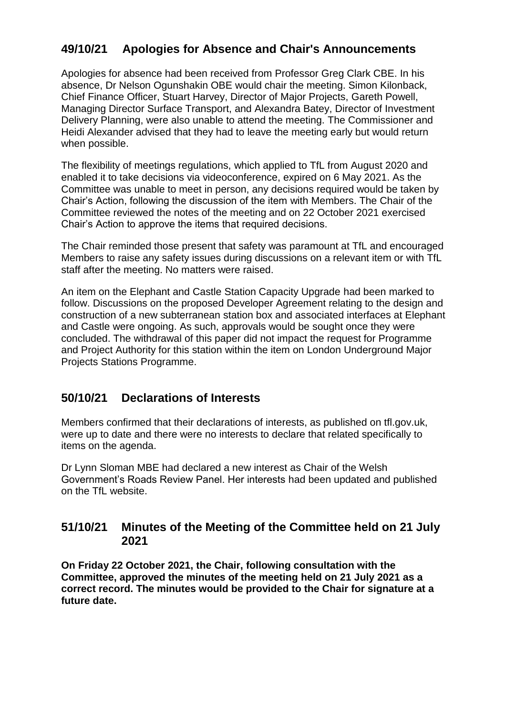# **49/10/21 Apologies for Absence and Chair's Announcements**

Apologies for absence had been received from Professor Greg Clark CBE. In his absence, Dr Nelson Ogunshakin OBE would chair the meeting. Simon Kilonback, Chief Finance Officer, Stuart Harvey, Director of Major Projects, Gareth Powell, Managing Director Surface Transport, and Alexandra Batey, Director of Investment Delivery Planning, were also unable to attend the meeting. The Commissioner and Heidi Alexander advised that they had to leave the meeting early but would return when possible.

The flexibility of meetings regulations, which applied to TfL from August 2020 and enabled it to take decisions via videoconference, expired on 6 May 2021. As the Committee was unable to meet in person, any decisions required would be taken by Chair's Action, following the discussion of the item with Members. The Chair of the Committee reviewed the notes of the meeting and on 22 October 2021 exercised Chair's Action to approve the items that required decisions.

The Chair reminded those present that safety was paramount at TfL and encouraged Members to raise any safety issues during discussions on a relevant item or with TfL staff after the meeting. No matters were raised.

An item on the Elephant and Castle Station Capacity Upgrade had been marked to follow. Discussions on the proposed Developer Agreement relating to the design and construction of a new subterranean station box and associated interfaces at Elephant and Castle were ongoing. As such, approvals would be sought once they were concluded. The withdrawal of this paper did not impact the request for Programme and Project Authority for this station within the item on London Underground Major Projects Stations Programme.

## **50/10/21 Declarations of Interests**

Members confirmed that their declarations of interests, as published on tfl.gov.uk, were up to date and there were no interests to declare that related specifically to items on the agenda.

Dr Lynn Sloman MBE had declared a new interest as Chair of the Welsh Government's Roads Review Panel. Her interests had been updated and published on the TfL website.

### **51/10/21 Minutes of the Meeting of the Committee held on 21 July 2021**

**On Friday 22 October 2021, the Chair, following consultation with the Committee, approved the minutes of the meeting held on 21 July 2021 as a correct record. The minutes would be provided to the Chair for signature at a future date.**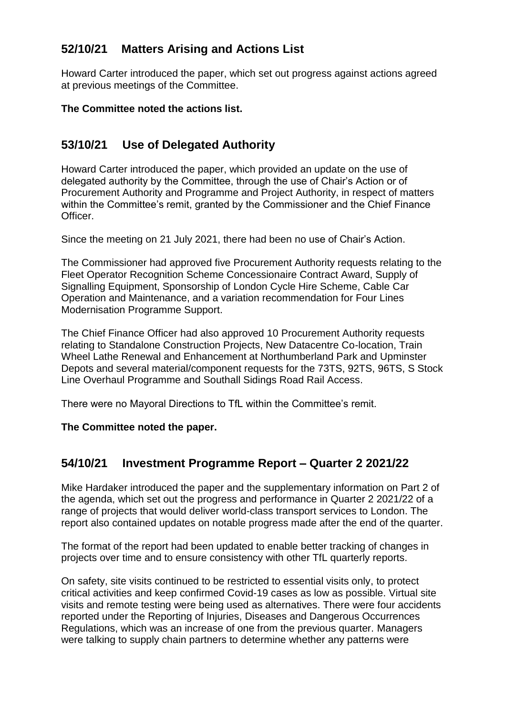# **52/10/21 Matters Arising and Actions List**

Howard Carter introduced the paper, which set out progress against actions agreed at previous meetings of the Committee.

**The Committee noted the actions list.**

# **53/10/21 Use of Delegated Authority**

Howard Carter introduced the paper, which provided an update on the use of delegated authority by the Committee, through the use of Chair's Action or of Procurement Authority and Programme and Project Authority, in respect of matters within the Committee's remit, granted by the Commissioner and the Chief Finance Officer.

Since the meeting on 21 July 2021, there had been no use of Chair's Action.

The Commissioner had approved five Procurement Authority requests relating to the Fleet Operator Recognition Scheme Concessionaire Contract Award, Supply of Signalling Equipment, Sponsorship of London Cycle Hire Scheme, Cable Car Operation and Maintenance, and a variation recommendation for Four Lines Modernisation Programme Support.

The Chief Finance Officer had also approved 10 Procurement Authority requests relating to Standalone Construction Projects, New Datacentre Co-location, Train Wheel Lathe Renewal and Enhancement at Northumberland Park and Upminster Depots and several material/component requests for the 73TS, 92TS, 96TS, S Stock Line Overhaul Programme and Southall Sidings Road Rail Access.

There were no Mayoral Directions to TfL within the Committee's remit.

**The Committee noted the paper.**

# **54/10/21 Investment Programme Report – Quarter 2 2021/22**

Mike Hardaker introduced the paper and the supplementary information on Part 2 of the agenda, which set out the progress and performance in Quarter 2 2021/22 of a range of projects that would deliver world-class transport services to London. The report also contained updates on notable progress made after the end of the quarter.

The format of the report had been updated to enable better tracking of changes in projects over time and to ensure consistency with other TfL quarterly reports.

On safety, site visits continued to be restricted to essential visits only, to protect critical activities and keep confirmed Covid-19 cases as low as possible. Virtual site visits and remote testing were being used as alternatives. There were four accidents reported under the Reporting of Injuries, Diseases and Dangerous Occurrences Regulations, which was an increase of one from the previous quarter. Managers were talking to supply chain partners to determine whether any patterns were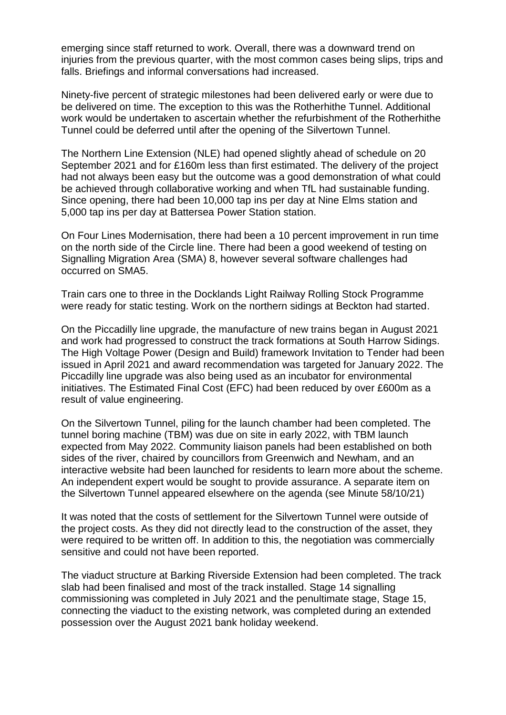emerging since staff returned to work. Overall, there was a downward trend on injuries from the previous quarter, with the most common cases being slips, trips and falls. Briefings and informal conversations had increased.

Ninety-five percent of strategic milestones had been delivered early or were due to be delivered on time. The exception to this was the Rotherhithe Tunnel. Additional work would be undertaken to ascertain whether the refurbishment of the Rotherhithe Tunnel could be deferred until after the opening of the Silvertown Tunnel.

The Northern Line Extension (NLE) had opened slightly ahead of schedule on 20 September 2021 and for £160m less than first estimated. The delivery of the project had not always been easy but the outcome was a good demonstration of what could be achieved through collaborative working and when TfL had sustainable funding. Since opening, there had been 10,000 tap ins per day at Nine Elms station and 5,000 tap ins per day at Battersea Power Station station.

On Four Lines Modernisation, there had been a 10 percent improvement in run time on the north side of the Circle line. There had been a good weekend of testing on Signalling Migration Area (SMA) 8, however several software challenges had occurred on SMA5.

Train cars one to three in the Docklands Light Railway Rolling Stock Programme were ready for static testing. Work on the northern sidings at Beckton had started.

On the Piccadilly line upgrade, the manufacture of new trains began in August 2021 and work had progressed to construct the track formations at South Harrow Sidings. The High Voltage Power (Design and Build) framework Invitation to Tender had been issued in April 2021 and award recommendation was targeted for January 2022. The Piccadilly line upgrade was also being used as an incubator for environmental initiatives. The Estimated Final Cost (EFC) had been reduced by over £600m as a result of value engineering.

On the Silvertown Tunnel, piling for the launch chamber had been completed. The tunnel boring machine (TBM) was due on site in early 2022, with TBM launch expected from May 2022. Community liaison panels had been established on both sides of the river, chaired by councillors from Greenwich and Newham, and an interactive website had been launched for residents to learn more about the scheme. An independent expert would be sought to provide assurance. A separate item on the Silvertown Tunnel appeared elsewhere on the agenda (see Minute 58/10/21)

It was noted that the costs of settlement for the Silvertown Tunnel were outside of the project costs. As they did not directly lead to the construction of the asset, they were required to be written off. In addition to this, the negotiation was commercially sensitive and could not have been reported.

The viaduct structure at Barking Riverside Extension had been completed. The track slab had been finalised and most of the track installed. Stage 14 signalling commissioning was completed in July 2021 and the penultimate stage, Stage 15, connecting the viaduct to the existing network, was completed during an extended possession over the August 2021 bank holiday weekend.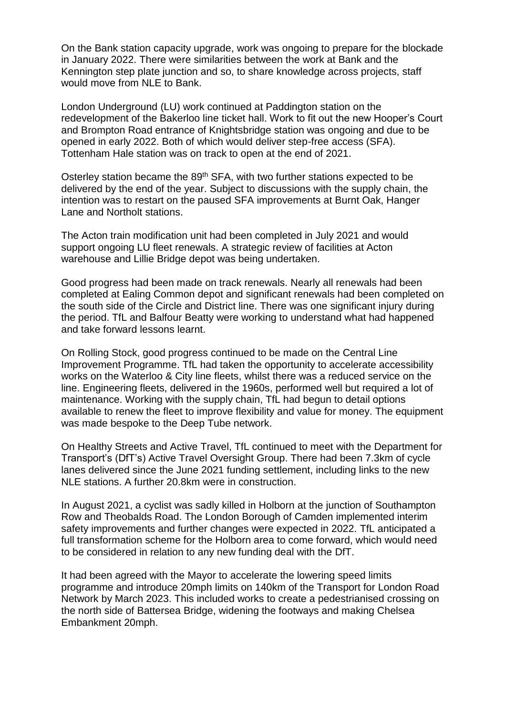On the Bank station capacity upgrade, work was ongoing to prepare for the blockade in January 2022. There were similarities between the work at Bank and the Kennington step plate junction and so, to share knowledge across projects, staff would move from NLE to Bank.

London Underground (LU) work continued at Paddington station on the redevelopment of the Bakerloo line ticket hall. Work to fit out the new Hooper's Court and Brompton Road entrance of Knightsbridge station was ongoing and due to be opened in early 2022. Both of which would deliver step-free access (SFA). Tottenham Hale station was on track to open at the end of 2021.

Osterley station became the 89<sup>th</sup> SFA, with two further stations expected to be delivered by the end of the year. Subject to discussions with the supply chain, the intention was to restart on the paused SFA improvements at Burnt Oak, Hanger Lane and Northolt stations.

The Acton train modification unit had been completed in July 2021 and would support ongoing LU fleet renewals. A strategic review of facilities at Acton warehouse and Lillie Bridge depot was being undertaken.

Good progress had been made on track renewals. Nearly all renewals had been completed at Ealing Common depot and significant renewals had been completed on the south side of the Circle and District line. There was one significant injury during the period. TfL and Balfour Beatty were working to understand what had happened and take forward lessons learnt.

On Rolling Stock, good progress continued to be made on the Central Line Improvement Programme. TfL had taken the opportunity to accelerate accessibility works on the Waterloo & City line fleets, whilst there was a reduced service on the line. Engineering fleets, delivered in the 1960s, performed well but required a lot of maintenance. Working with the supply chain, TfL had begun to detail options available to renew the fleet to improve flexibility and value for money. The equipment was made bespoke to the Deep Tube network.

On Healthy Streets and Active Travel, TfL continued to meet with the Department for Transport's (DfT's) Active Travel Oversight Group. There had been 7.3km of cycle lanes delivered since the June 2021 funding settlement, including links to the new NLE stations. A further 20.8km were in construction.

In August 2021, a cyclist was sadly killed in Holborn at the junction of Southampton Row and Theobalds Road. The London Borough of Camden implemented interim safety improvements and further changes were expected in 2022. TfL anticipated a full transformation scheme for the Holborn area to come forward, which would need to be considered in relation to any new funding deal with the DfT.

It had been agreed with the Mayor to accelerate the lowering speed limits programme and introduce 20mph limits on 140km of the Transport for London Road Network by March 2023. This included works to create a pedestrianised crossing on the north side of Battersea Bridge, widening the footways and making Chelsea Embankment 20mph.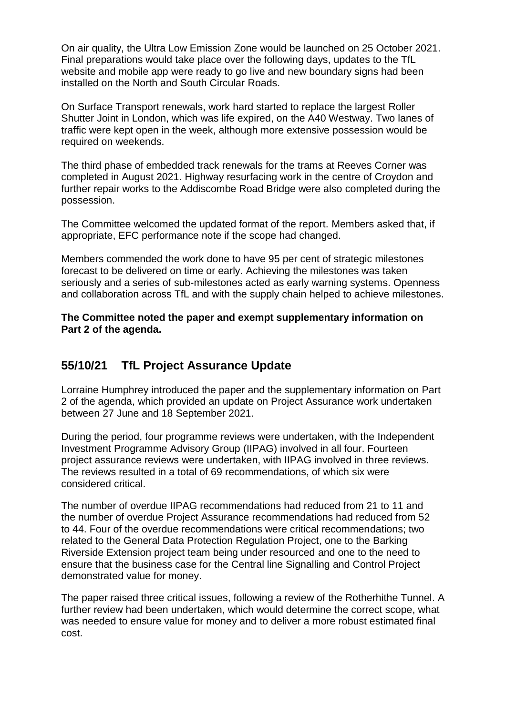On air quality, the Ultra Low Emission Zone would be launched on 25 October 2021. Final preparations would take place over the following days, updates to the TfL website and mobile app were ready to go live and new boundary signs had been installed on the North and South Circular Roads.

On Surface Transport renewals, work hard started to replace the largest Roller Shutter Joint in London, which was life expired, on the A40 Westway. Two lanes of traffic were kept open in the week, although more extensive possession would be required on weekends.

The third phase of embedded track renewals for the trams at Reeves Corner was completed in August 2021. Highway resurfacing work in the centre of Croydon and further repair works to the Addiscombe Road Bridge were also completed during the possession.

The Committee welcomed the updated format of the report. Members asked that, if appropriate, EFC performance note if the scope had changed.

Members commended the work done to have 95 per cent of strategic milestones forecast to be delivered on time or early. Achieving the milestones was taken seriously and a series of sub-milestones acted as early warning systems. Openness and collaboration across TfL and with the supply chain helped to achieve milestones.

**The Committee noted the paper and exempt supplementary information on Part 2 of the agenda.**

## **55/10/21 TfL Project Assurance Update**

Lorraine Humphrey introduced the paper and the supplementary information on Part 2 of the agenda, which provided an update on Project Assurance work undertaken between 27 June and 18 September 2021.

During the period, four programme reviews were undertaken, with the Independent Investment Programme Advisory Group (IIPAG) involved in all four. Fourteen project assurance reviews were undertaken, with IIPAG involved in three reviews. The reviews resulted in a total of 69 recommendations, of which six were considered critical.

The number of overdue IIPAG recommendations had reduced from 21 to 11 and the number of overdue Project Assurance recommendations had reduced from 52 to 44. Four of the overdue recommendations were critical recommendations; two related to the General Data Protection Regulation Project, one to the Barking Riverside Extension project team being under resourced and one to the need to ensure that the business case for the Central line Signalling and Control Project demonstrated value for money.

The paper raised three critical issues, following a review of the Rotherhithe Tunnel. A further review had been undertaken, which would determine the correct scope, what was needed to ensure value for money and to deliver a more robust estimated final cost.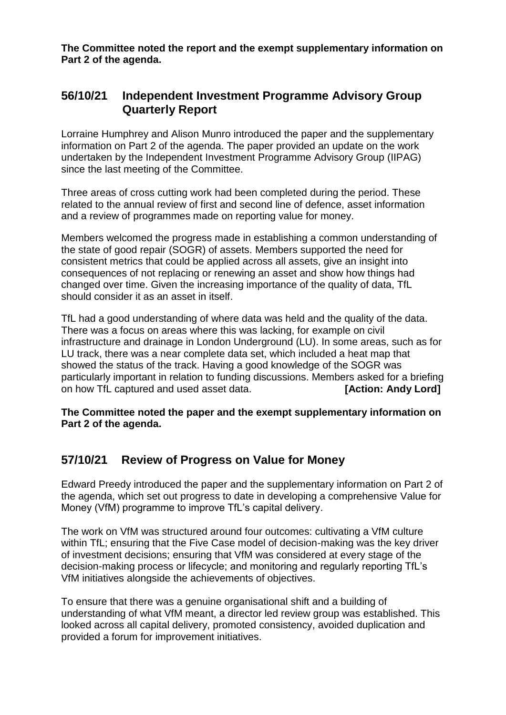**The Committee noted the report and the exempt supplementary information on Part 2 of the agenda.**

## **56/10/21 Independent Investment Programme Advisory Group Quarterly Report**

Lorraine Humphrey and Alison Munro introduced the paper and the supplementary information on Part 2 of the agenda. The paper provided an update on the work undertaken by the Independent Investment Programme Advisory Group (IIPAG) since the last meeting of the Committee.

Three areas of cross cutting work had been completed during the period. These related to the annual review of first and second line of defence, asset information and a review of programmes made on reporting value for money.

Members welcomed the progress made in establishing a common understanding of the state of good repair (SOGR) of assets. Members supported the need for consistent metrics that could be applied across all assets, give an insight into consequences of not replacing or renewing an asset and show how things had changed over time. Given the increasing importance of the quality of data, TfL should consider it as an asset in itself.

TfL had a good understanding of where data was held and the quality of the data. There was a focus on areas where this was lacking, for example on civil infrastructure and drainage in London Underground (LU). In some areas, such as for LU track, there was a near complete data set, which included a heat map that showed the status of the track. Having a good knowledge of the SOGR was particularly important in relation to funding discussions. Members asked for a briefing on how TfL captured and used asset data. **[Action: Andy Lord]**

**The Committee noted the paper and the exempt supplementary information on Part 2 of the agenda.**

## **57/10/21 Review of Progress on Value for Money**

Edward Preedy introduced the paper and the supplementary information on Part 2 of the agenda, which set out progress to date in developing a comprehensive Value for Money (VfM) programme to improve TfL's capital delivery.

The work on VfM was structured around four outcomes: cultivating a VfM culture within TfL; ensuring that the Five Case model of decision-making was the key driver of investment decisions; ensuring that VfM was considered at every stage of the decision-making process or lifecycle; and monitoring and regularly reporting TfL's VfM initiatives alongside the achievements of objectives.

To ensure that there was a genuine organisational shift and a building of understanding of what VfM meant, a director led review group was established. This looked across all capital delivery, promoted consistency, avoided duplication and provided a forum for improvement initiatives.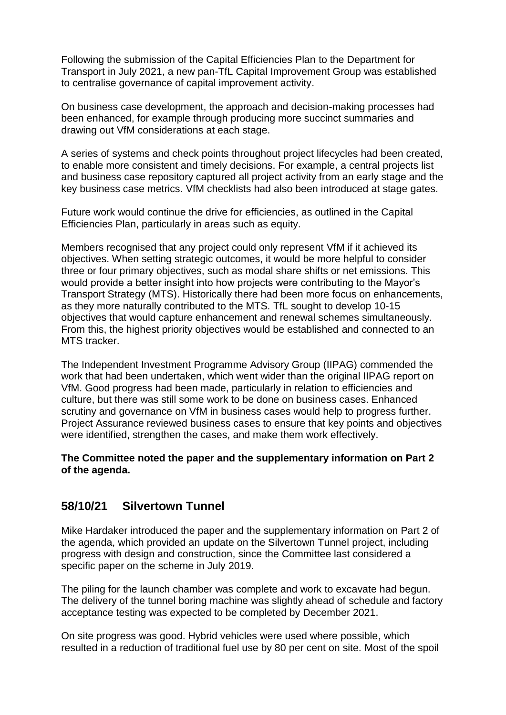Following the submission of the Capital Efficiencies Plan to the Department for Transport in July 2021, a new pan-TfL Capital Improvement Group was established to centralise governance of capital improvement activity.

On business case development, the approach and decision-making processes had been enhanced, for example through producing more succinct summaries and drawing out VfM considerations at each stage.

A series of systems and check points throughout project lifecycles had been created, to enable more consistent and timely decisions. For example, a central projects list and business case repository captured all project activity from an early stage and the key business case metrics. VfM checklists had also been introduced at stage gates.

Future work would continue the drive for efficiencies, as outlined in the Capital Efficiencies Plan, particularly in areas such as equity.

Members recognised that any project could only represent VfM if it achieved its objectives. When setting strategic outcomes, it would be more helpful to consider three or four primary objectives, such as modal share shifts or net emissions. This would provide a better insight into how projects were contributing to the Mayor's Transport Strategy (MTS). Historically there had been more focus on enhancements, as they more naturally contributed to the MTS. TfL sought to develop 10-15 objectives that would capture enhancement and renewal schemes simultaneously. From this, the highest priority objectives would be established and connected to an MTS tracker.

The Independent Investment Programme Advisory Group (IIPAG) commended the work that had been undertaken, which went wider than the original IIPAG report on VfM. Good progress had been made, particularly in relation to efficiencies and culture, but there was still some work to be done on business cases. Enhanced scrutiny and governance on VfM in business cases would help to progress further. Project Assurance reviewed business cases to ensure that key points and objectives were identified, strengthen the cases, and make them work effectively.

#### **The Committee noted the paper and the supplementary information on Part 2 of the agenda.**

### **58/10/21 Silvertown Tunnel**

Mike Hardaker introduced the paper and the supplementary information on Part 2 of the agenda, which provided an update on the Silvertown Tunnel project, including progress with design and construction, since the Committee last considered a specific paper on the scheme in July 2019.

The piling for the launch chamber was complete and work to excavate had begun. The delivery of the tunnel boring machine was slightly ahead of schedule and factory acceptance testing was expected to be completed by December 2021.

On site progress was good. Hybrid vehicles were used where possible, which resulted in a reduction of traditional fuel use by 80 per cent on site. Most of the spoil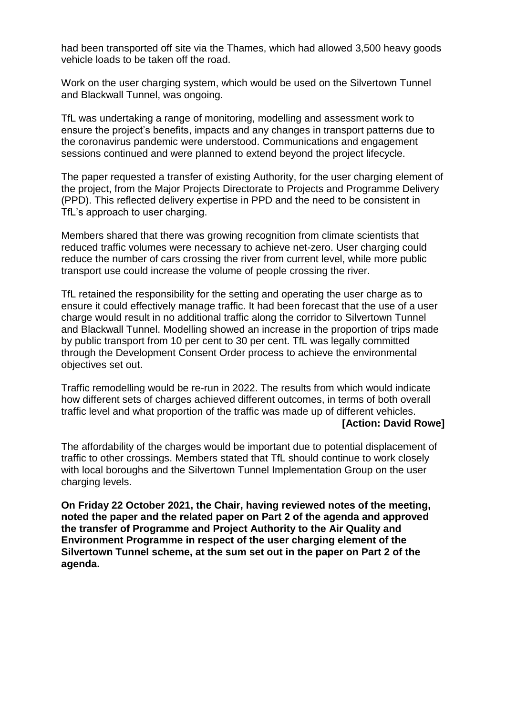had been transported off site via the Thames, which had allowed 3,500 heavy goods vehicle loads to be taken off the road.

Work on the user charging system, which would be used on the Silvertown Tunnel and Blackwall Tunnel, was ongoing.

TfL was undertaking a range of monitoring, modelling and assessment work to ensure the project's benefits, impacts and any changes in transport patterns due to the coronavirus pandemic were understood. Communications and engagement sessions continued and were planned to extend beyond the project lifecycle.

The paper requested a transfer of existing Authority, for the user charging element of the project, from the Major Projects Directorate to Projects and Programme Delivery (PPD). This reflected delivery expertise in PPD and the need to be consistent in TfL's approach to user charging.

Members shared that there was growing recognition from climate scientists that reduced traffic volumes were necessary to achieve net-zero. User charging could reduce the number of cars crossing the river from current level, while more public transport use could increase the volume of people crossing the river.

TfL retained the responsibility for the setting and operating the user charge as to ensure it could effectively manage traffic. It had been forecast that the use of a user charge would result in no additional traffic along the corridor to Silvertown Tunnel and Blackwall Tunnel. Modelling showed an increase in the proportion of trips made by public transport from 10 per cent to 30 per cent. TfL was legally committed through the Development Consent Order process to achieve the environmental objectives set out.

Traffic remodelling would be re-run in 2022. The results from which would indicate how different sets of charges achieved different outcomes, in terms of both overall traffic level and what proportion of the traffic was made up of different vehicles. **[Action: David Rowe]**

The affordability of the charges would be important due to potential displacement of traffic to other crossings. Members stated that TfL should continue to work closely with local boroughs and the Silvertown Tunnel Implementation Group on the user charging levels.

**On Friday 22 October 2021, the Chair, having reviewed notes of the meeting, noted the paper and the related paper on Part 2 of the agenda and approved the transfer of Programme and Project Authority to the Air Quality and Environment Programme in respect of the user charging element of the Silvertown Tunnel scheme, at the sum set out in the paper on Part 2 of the agenda.**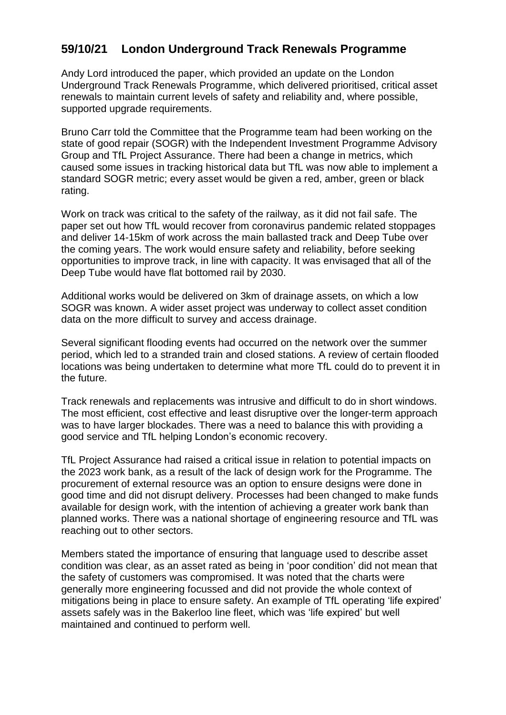## **59/10/21 London Underground Track Renewals Programme**

Andy Lord introduced the paper, which provided an update on the London Underground Track Renewals Programme, which delivered prioritised, critical asset renewals to maintain current levels of safety and reliability and, where possible, supported upgrade requirements.

Bruno Carr told the Committee that the Programme team had been working on the state of good repair (SOGR) with the Independent Investment Programme Advisory Group and TfL Project Assurance. There had been a change in metrics, which caused some issues in tracking historical data but TfL was now able to implement a standard SOGR metric; every asset would be given a red, amber, green or black rating.

Work on track was critical to the safety of the railway, as it did not fail safe. The paper set out how TfL would recover from coronavirus pandemic related stoppages and deliver 14-15km of work across the main ballasted track and Deep Tube over the coming years. The work would ensure safety and reliability, before seeking opportunities to improve track, in line with capacity. It was envisaged that all of the Deep Tube would have flat bottomed rail by 2030.

Additional works would be delivered on 3km of drainage assets, on which a low SOGR was known. A wider asset project was underway to collect asset condition data on the more difficult to survey and access drainage.

Several significant flooding events had occurred on the network over the summer period, which led to a stranded train and closed stations. A review of certain flooded locations was being undertaken to determine what more TfL could do to prevent it in the future.

Track renewals and replacements was intrusive and difficult to do in short windows. The most efficient, cost effective and least disruptive over the longer-term approach was to have larger blockades. There was a need to balance this with providing a good service and TfL helping London's economic recovery.

TfL Project Assurance had raised a critical issue in relation to potential impacts on the 2023 work bank, as a result of the lack of design work for the Programme. The procurement of external resource was an option to ensure designs were done in good time and did not disrupt delivery. Processes had been changed to make funds available for design work, with the intention of achieving a greater work bank than planned works. There was a national shortage of engineering resource and TfL was reaching out to other sectors.

Members stated the importance of ensuring that language used to describe asset condition was clear, as an asset rated as being in 'poor condition' did not mean that the safety of customers was compromised. It was noted that the charts were generally more engineering focussed and did not provide the whole context of mitigations being in place to ensure safety. An example of TfL operating 'life expired' assets safely was in the Bakerloo line fleet, which was 'life expired' but well maintained and continued to perform well.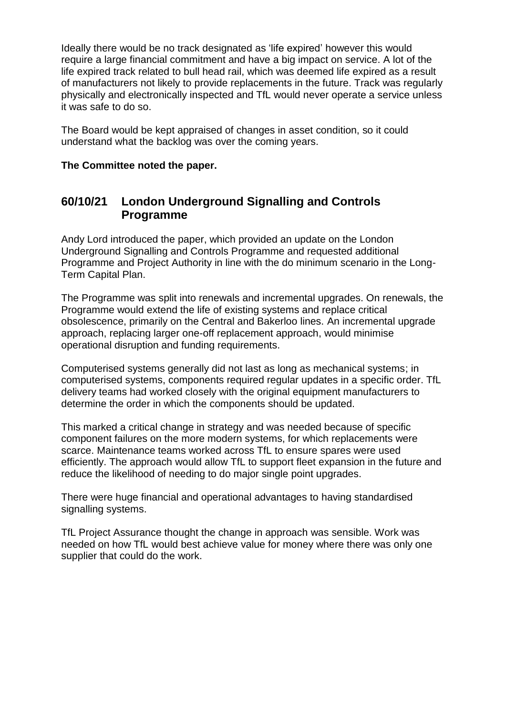Ideally there would be no track designated as 'life expired' however this would require a large financial commitment and have a big impact on service. A lot of the life expired track related to bull head rail, which was deemed life expired as a result of manufacturers not likely to provide replacements in the future. Track was regularly physically and electronically inspected and TfL would never operate a service unless it was safe to do so.

The Board would be kept appraised of changes in asset condition, so it could understand what the backlog was over the coming years.

#### **The Committee noted the paper.**

## **60/10/21 London Underground Signalling and Controls Programme**

Andy Lord introduced the paper, which provided an update on the London Underground Signalling and Controls Programme and requested additional Programme and Project Authority in line with the do minimum scenario in the Long-Term Capital Plan.

The Programme was split into renewals and incremental upgrades. On renewals, the Programme would extend the life of existing systems and replace critical obsolescence, primarily on the Central and Bakerloo lines. An incremental upgrade approach, replacing larger one-off replacement approach, would minimise operational disruption and funding requirements.

Computerised systems generally did not last as long as mechanical systems; in computerised systems, components required regular updates in a specific order. TfL delivery teams had worked closely with the original equipment manufacturers to determine the order in which the components should be updated.

This marked a critical change in strategy and was needed because of specific component failures on the more modern systems, for which replacements were scarce. Maintenance teams worked across TfL to ensure spares were used efficiently. The approach would allow TfL to support fleet expansion in the future and reduce the likelihood of needing to do major single point upgrades.

There were huge financial and operational advantages to having standardised signalling systems.

TfL Project Assurance thought the change in approach was sensible. Work was needed on how TfL would best achieve value for money where there was only one supplier that could do the work.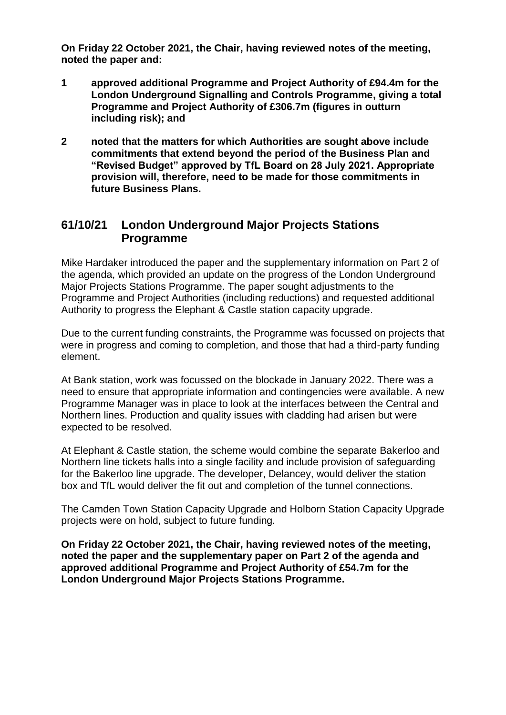**On Friday 22 October 2021, the Chair, having reviewed notes of the meeting, noted the paper and:**

- **1 approved additional Programme and Project Authority of £94.4m for the London Underground Signalling and Controls Programme, giving a total Programme and Project Authority of £306.7m (figures in outturn including risk); and**
- **2 noted that the matters for which Authorities are sought above include commitments that extend beyond the period of the Business Plan and "Revised Budget" approved by TfL Board on 28 July 2021. Appropriate provision will, therefore, need to be made for those commitments in future Business Plans.**

### **61/10/21 London Underground Major Projects Stations Programme**

Mike Hardaker introduced the paper and the supplementary information on Part 2 of the agenda, which provided an update on the progress of the London Underground Major Projects Stations Programme. The paper sought adjustments to the Programme and Project Authorities (including reductions) and requested additional Authority to progress the Elephant & Castle station capacity upgrade.

Due to the current funding constraints, the Programme was focussed on projects that were in progress and coming to completion, and those that had a third-party funding element.

At Bank station, work was focussed on the blockade in January 2022. There was a need to ensure that appropriate information and contingencies were available. A new Programme Manager was in place to look at the interfaces between the Central and Northern lines. Production and quality issues with cladding had arisen but were expected to be resolved.

At Elephant & Castle station, the scheme would combine the separate Bakerloo and Northern line tickets halls into a single facility and include provision of safeguarding for the Bakerloo line upgrade. The developer, Delancey, would deliver the station box and TfL would deliver the fit out and completion of the tunnel connections.

The Camden Town Station Capacity Upgrade and Holborn Station Capacity Upgrade projects were on hold, subject to future funding.

**On Friday 22 October 2021, the Chair, having reviewed notes of the meeting, noted the paper and the supplementary paper on Part 2 of the agenda and approved additional Programme and Project Authority of £54.7m for the London Underground Major Projects Stations Programme.**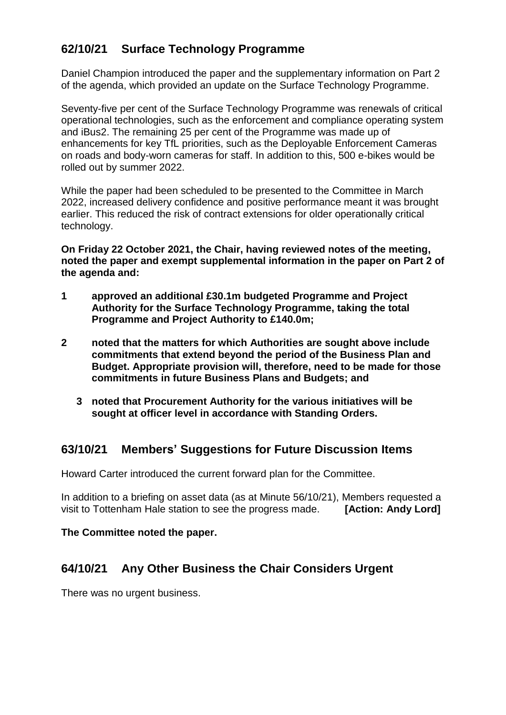# **62/10/21 Surface Technology Programme**

Daniel Champion introduced the paper and the supplementary information on Part 2 of the agenda, which provided an update on the Surface Technology Programme.

Seventy-five per cent of the Surface Technology Programme was renewals of critical operational technologies, such as the enforcement and compliance operating system and iBus2. The remaining 25 per cent of the Programme was made up of enhancements for key TfL priorities, such as the Deployable Enforcement Cameras on roads and body-worn cameras for staff. In addition to this, 500 e-bikes would be rolled out by summer 2022.

While the paper had been scheduled to be presented to the Committee in March 2022, increased delivery confidence and positive performance meant it was brought earlier. This reduced the risk of contract extensions for older operationally critical technology.

**On Friday 22 October 2021, the Chair, having reviewed notes of the meeting, noted the paper and exempt supplemental information in the paper on Part 2 of the agenda and:**

- **1 approved an additional £30.1m budgeted Programme and Project Authority for the Surface Technology Programme, taking the total Programme and Project Authority to £140.0m;**
- **2 noted that the matters for which Authorities are sought above include commitments that extend beyond the period of the Business Plan and Budget. Appropriate provision will, therefore, need to be made for those commitments in future Business Plans and Budgets; and**
	- **3 noted that Procurement Authority for the various initiatives will be sought at officer level in accordance with Standing Orders.**

### **63/10/21 Members' Suggestions for Future Discussion Items**

Howard Carter introduced the current forward plan for the Committee.

In addition to a briefing on asset data (as at Minute 56/10/21), Members requested a visit to Tottenham Hale station to see the progress made. **[Action: Andy Lord]**

### **The Committee noted the paper.**

### **64/10/21 Any Other Business the Chair Considers Urgent**

There was no urgent business.